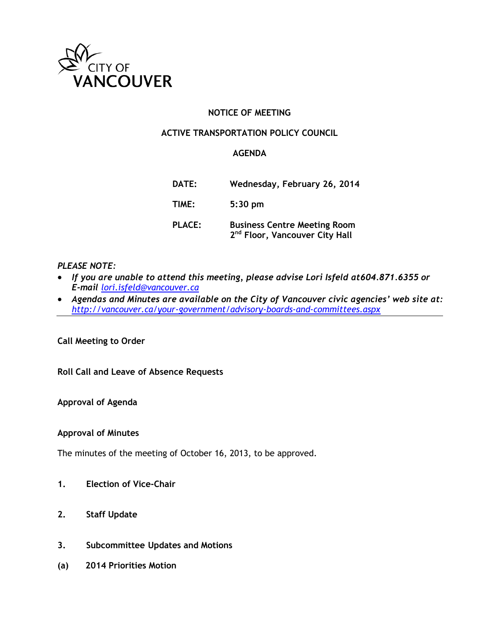

## **NOTICE OF MEETING**

#### **ACTIVE TRANSPORTATION POLICY COUNCIL**

#### **AGENDA**

| DATE:         | Wednesday, February 26, 2014                                                      |
|---------------|-----------------------------------------------------------------------------------|
| TIME:         | $5:30$ pm                                                                         |
| <b>PLACE:</b> | <b>Business Centre Meeting Room</b><br>2 <sup>nd</sup> Floor, Vancouver City Hall |

## *PLEASE NOTE:*

- *If you are unable to attend this meeting, please advise Lori Isfeld at 604.871.6355 or E-mail [lori.isfeld@vancouver.ca](mailto:lori.isfeld@vancouver.ca)*
- *Agendas and Minutes are available on the City of Vancouver civic agencies' web site at: <http://vancouver.ca/your-government/advisory-boards-and-committees.aspx>*

**Call Meeting to Order**

**Roll Call and Leave of Absence Requests**

**Approval of Agenda**

#### **Approval of Minutes**

The minutes of the meeting of October 16, 2013, to be approved.

- **1. Election of Vice-Chair**
- **2. Staff Update**
- **3. Subcommittee Updates and Motions**
- **(a) 2014 Priorities Motion**